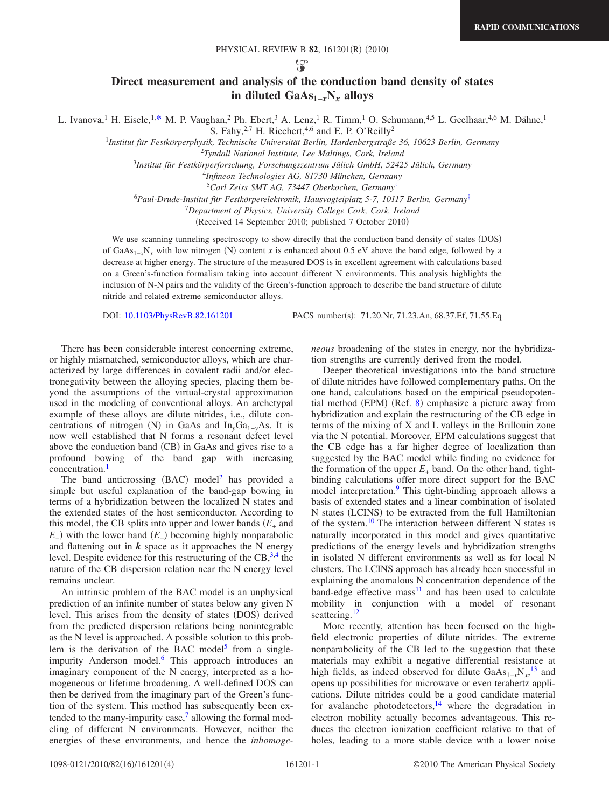ပ္သာ

## **Direct measurement and analysis of the conduction band density of states in diluted GaAs1−***x***N***<sup>x</sup>* **alloys**

L. Ivanova,<sup>1</sup> H. Eisele,<sup>1[,\\*](#page-3-0)</sup> M. P. Vaughan,<sup>2</sup> Ph. Ebert,<sup>3</sup> A. Lenz,<sup>1</sup> R. Timm,<sup>1</sup> O. Schumann,<sup>4,5</sup> L. Geelhaar,<sup>4,6</sup> M. Dähne,<sup>1</sup>

S. Fahy,  $2.7$  H. Riechert,  $4.6$  and E. P. O'Reilly<sup>2</sup>

1 *Institut für Festkörperphysik, Technische Universität Berlin, Hardenbergstraße 36, 10623 Berlin, Germany*

2 *Tyndall National Institute, Lee Maltings, Cork, Ireland*

<sup>3</sup>*Institut für Festkörperforschung, Forschungszentrum Jülich GmbH, 52425 Jülich, Germany*

4 *Infineon Technologies AG, 81730 München, Germany*

<sup>5</sup>*Carl Zeiss SMT AG, 73447 Oberkochen, Germany*[†](#page-3-1)

<sup>6</sup>*Paul-Drude-Institut für Festkörperelektronik, Hausvogteiplatz 5-7, 10117 Berlin, Germany*[†](#page-3-1)

<sup>7</sup>*Department of Physics, University College Cork, Cork, Ireland*

(Received 14 September 2010; published 7 October 2010)

We use scanning tunneling spectroscopy to show directly that the conduction band density of states (DOS) of GaAs<sub>1-*x*</sub>N<sub>*x*</sub> with low nitrogen (N) content *x* is enhanced about 0.5 eV above the band edge, followed by a decrease at higher energy. The structure of the measured DOS is in excellent agreement with calculations based on a Green's-function formalism taking into account different N environments. This analysis highlights the inclusion of N-N pairs and the validity of the Green's-function approach to describe the band structure of dilute nitride and related extreme semiconductor alloys.

DOI: [10.1103/PhysRevB.82.161201](http://dx.doi.org/10.1103/PhysRevB.82.161201)

PACS number(s): 71.20.Nr, 71.23.An, 68.37.Ef, 71.55.Eq

There has been considerable interest concerning extreme, or highly mismatched, semiconductor alloys, which are characterized by large differences in covalent radii and/or electronegativity between the alloying species, placing them beyond the assumptions of the virtual-crystal approximation used in the modeling of conventional alloys. An archetypal example of these alloys are dilute nitrides, i.e., dilute concentrations of nitrogen (N) in GaAs and In<sub>y</sub>Ga<sub>1−y</sub>As. It is now well established that N forms a resonant defect level above the conduction band (CB) in GaAs and gives rise to a profound bowing of the band gap with increasing concentration.<sup>1</sup>

The band anticrossing  $(BAC)$  model<sup>2</sup> has provided a simple but useful explanation of the band-gap bowing in terms of a hybridization between the localized N states and the extended states of the host semiconductor. According to this model, the CB splits into upper and lower bands  $(E_{+}$  and *E*<sub>−</sub>) with the lower band (*E*<sub>−</sub>) becoming highly nonparabolic and flattening out in  $k$  space as it approaches the N energy level. Despite evidence for this restructuring of the  $CB<sup>3,4</sup>$  $CB<sup>3,4</sup>$  $CB<sup>3,4</sup>$ , the nature of the CB dispersion relation near the N energy level remains unclear.

An intrinsic problem of the BAC model is an unphysical prediction of an infinite number of states below any given N level. This arises from the density of states (DOS) derived from the predicted dispersion relations being nonintegrable as the N level is approached. A possible solution to this problem is the derivation of the BAC model<sup>5</sup> from a singleimpurity Anderson model.<sup>6</sup> This approach introduces an imaginary component of the N energy, interpreted as a homogeneous or lifetime broadening. A well-defined DOS can then be derived from the imaginary part of the Green's function of the system. This method has subsequently been extended to the many-impurity case, $\frac{7}{1}$  allowing the formal modeling of different N environments. However, neither the energies of these environments, and hence the *inhomoge-* *neous* broadening of the states in energy, nor the hybridization strengths are currently derived from the model.

Deeper theoretical investigations into the band structure of dilute nitrides have followed complementary paths. On the one hand, calculations based on the empirical pseudopoten-tial method (EPM) (Ref. [8](#page-3-9)) emphasize a picture away from hybridization and explain the restructuring of the CB edge in terms of the mixing of X and L valleys in the Brillouin zone via the N potential. Moreover, EPM calculations suggest that the CB edge has a far higher degree of localization than suggested by the BAC model while finding no evidence for the formation of the upper  $E_{+}$  band. On the other hand, tightbinding calculations offer more direct support for the BAC model interpretation.<sup>9</sup> This tight-binding approach allows a basis of extended states and a linear combination of isolated N states (LCINS) to be extracted from the full Hamiltonian of the system.<sup>10</sup> The interaction between different N states is naturally incorporated in this model and gives quantitative predictions of the energy levels and hybridization strengths in isolated N different environments as well as for local N clusters. The LCINS approach has already been successful in explaining the anomalous N concentration dependence of the band-edge effective mass $11$  and has been used to calculate mobility in conjunction with a model of resonant scattering.<sup>12</sup>

More recently, attention has been focused on the highfield electronic properties of dilute nitrides. The extreme nonparabolicity of the CB led to the suggestion that these materials may exhibit a negative differential resistance at high fields, as indeed observed for dilute  $GaAs_{1-x}N_x$ ,<sup>[13](#page-3-14)</sup> and opens up possibilities for microwave or even terahertz applications. Dilute nitrides could be a good candidate material for avalanche photodetectors, $14$  where the degradation in electron mobility actually becomes advantageous. This reduces the electron ionization coefficient relative to that of holes, leading to a more stable device with a lower noise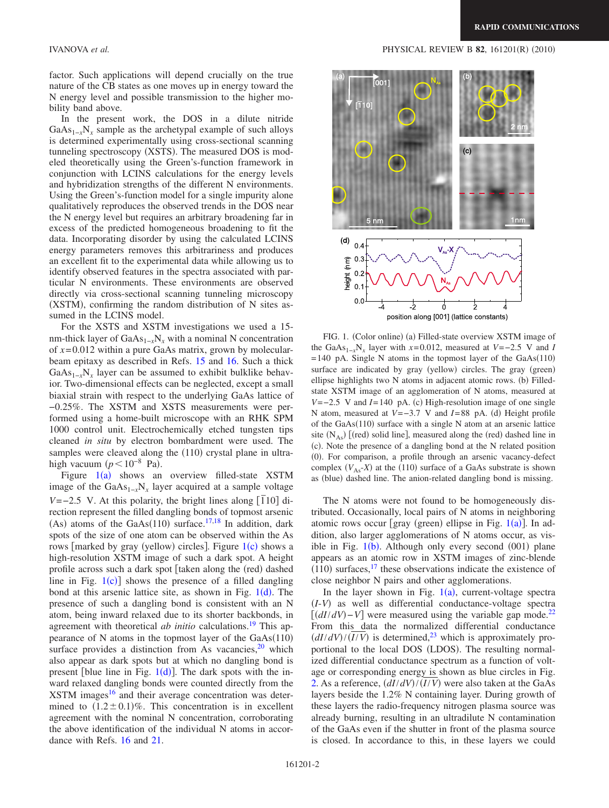factor. Such applications will depend crucially on the true nature of the CB states as one moves up in energy toward the N energy level and possible transmission to the higher mobility band above.

In the present work, the DOS in a dilute nitride  $GaAs_{1-x}N_x$  sample as the archetypal example of such alloys is determined experimentally using cross-sectional scanning tunneling spectroscopy (XSTS). The measured DOS is modeled theoretically using the Green's-function framework in conjunction with LCINS calculations for the energy levels and hybridization strengths of the different N environments. Using the Green's-function model for a single impurity alone qualitatively reproduces the observed trends in the DOS near the N energy level but requires an arbitrary broadening far in excess of the predicted homogeneous broadening to fit the data. Incorporating disorder by using the calculated LCINS energy parameters removes this arbitrariness and produces an excellent fit to the experimental data while allowing us to identify observed features in the spectra associated with particular N environments. These environments are observed directly via cross-sectional scanning tunneling microscopy (XSTM), confirming the random distribution of N sites assumed in the LCINS model.

For the XSTS and XSTM investigations we used a 15 nm-thick layer of GaAs<sub>1-*x*</sub>N<sub>*x*</sub> with a nominal N concentration of *x*=0.012 within a pure GaAs matrix, grown by molecularbeam epitaxy as described in Refs. [15](#page-3-16) and [16.](#page-3-17) Such a thick  $GaAs_{1-x}N_x$  layer can be assumed to exhibit bulklike behavior. Two-dimensional effects can be neglected, except a small biaxial strain with respect to the underlying GaAs lattice of −0.25%. The XSTM and XSTS measurements were performed using a home-built microscope with an RHK SPM 1000 control unit. Electrochemically etched tungsten tips cleaned *in situ* by electron bombardment were used. The samples were cleaved along the (110) crystal plane in ultrahigh vacuum  $(p<10^{-8}$  Pa).

Figure  $1(a)$  $1(a)$  shows an overview filled-state XSTM image of the GaAs<sub>1-*x*</sub>N<sub>*x*</sub> layer acquired at a sample voltage *V*=−2.5 V. At this polarity, the bright lines along  $\left[710\right]$  direction represent the filled dangling bonds of topmost arsenic (As) atoms of the GaAs(110) surface.<sup>17[,18](#page-3-19)</sup> In addition, dark spots of the size of one atom can be observed within the As rows [marked by gray (yellow) circles]. Figure [1](#page-1-0)(c) shows a high-resolution XSTM image of such a dark spot. A height profile across such a dark spot [taken along the (red) dashed line in Fig.  $1(c)$  $1(c)$ ] shows the presence of a filled dangling bond at this arsenic lattice site, as shown in Fig.  $1(d)$  $1(d)$ . The presence of such a dangling bond is consistent with an N atom, being inward relaxed due to its shorter backbonds, in agreement with theoretical *ab initio* calculations.<sup>19</sup> This appearance of N atoms in the topmost layer of the  $GaAs(110)$ surface provides a distinction from As vacancies, $20$  which also appear as dark spots but at which no dangling bond is present [blue line in Fig.  $1(d)$  $1(d)$ ]. The dark spots with the inward relaxed dangling bonds were counted directly from the  $XSTM$  images<sup>16</sup> and their average concentration was determined to  $(1.2 \pm 0.1)\%$ . This concentration is in excellent agreement with the nominal N concentration, corroborating the above identification of the individual N atoms in accordance with Refs. [16](#page-3-17) and [21.](#page-3-22)

<span id="page-1-0"></span>

FIG. 1. (Color online) (a) Filled-state overview XSTM image of the GaAs<sub>1−*x*</sub>N<sub>*x*</sub> layer with  $x=0.012$ , measured at  $V=-2.5$  V and *I*  $=140$  pA. Single N atoms in the topmost layer of the GaAs $(110)$ surface are indicated by gray (yellow) circles. The gray (green) ellipse highlights two N atoms in adjacent atomic rows. (b) Filledstate XSTM image of an agglomeration of N atoms, measured at *V*=−2.5 V and *I*=140 pA. (c) High-resolution image of one single N atom, measured at *V* = −3.7 V and *I* = 88 pA. (d) Height profile of the GaAs(110) surface with a single N atom at an arsenic lattice site  $(N_{As})$  [(red) solid line], measured along the (red) dashed line in (c). Note the presence of a dangling bond at the N related position (0). For comparison, a profile through an arsenic vacancy-defect complex  $(V_{As} - X)$  at the (110) surface of a GaAs substrate is shown as (blue) dashed line. The anion-related dangling bond is missing.

The N atoms were not found to be homogeneously distributed. Occasionally, local pairs of N atoms in neighboring atomic rows occur [gray (green) ellipse in Fig.  $1(a)$  $1(a)$ ]. In addition, also larger agglomerations of N atoms occur, as visible in Fig.  $1(b)$  $1(b)$ . Although only every second  $(001)$  plane appears as an atomic row in XSTM images of zinc-blende  $(110)$  surfaces,<sup>17</sup> these observations indicate the existence of close neighbor N pairs and other agglomerations.

In the layer shown in Fig.  $1(a)$  $1(a)$ , current-voltage spectra *I*-*V*- as well as differential conductance-voltage spectra  $\left[\frac{dI}{dV} - V\right]$  were measured using the variable gap mode.<sup>22</sup> From this data the normalized differential conductance  $\left(\frac{dI}{dV}\right)/\left(\frac{\overline{I}}{V}\right)$  is determined,<sup>23</sup> which is approximately proportional to the local DOS (LDOS). The resulting normalized differential conductance spectrum as a function of voltage or corresponding energy is shown as blue circles in Fig. [2.](#page-2-0) As a reference,  $\frac{dI}{dV}$ / $\frac{I}{V}$  were also taken at the GaAs layers beside the 1.2% N containing layer. During growth of these layers the radio-frequency nitrogen plasma source was already burning, resulting in an ultradilute N contamination of the GaAs even if the shutter in front of the plasma source is closed. In accordance to this, in these layers we could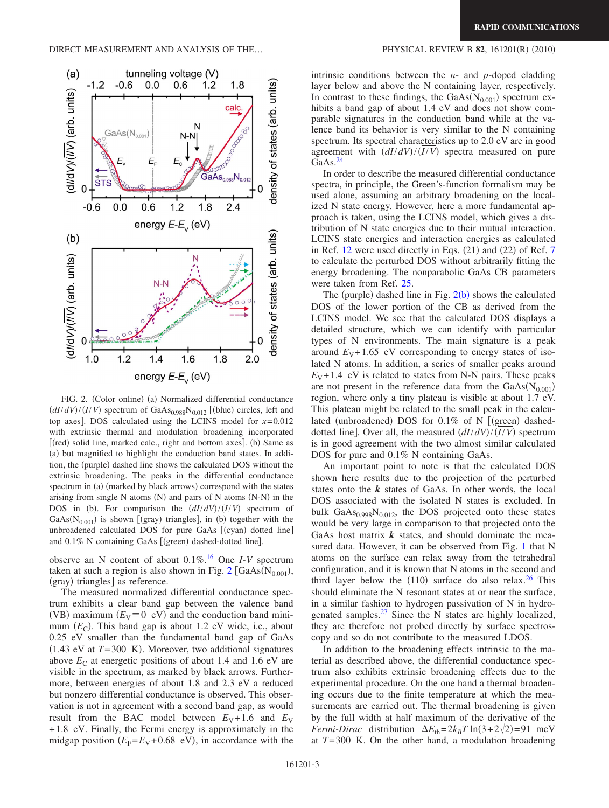<span id="page-2-0"></span>

FIG. 2. (Color online) (a) Normalized differential conductance  $\left(\frac{dI}{dV}\right) / \left(\frac{I}{V}\right)$  spectrum of GaAs<sub>0.988</sub>N<sub>0.012</sub> [(blue) circles, left and top axes. DOS calculated using the LCINS model for  $x=0.012$ with extrinsic thermal and modulation broadening incorporated [(red) solid line, marked calc., right and bottom axes]. (b) Same as (a) but magnified to highlight the conduction band states. In addition, the (purple) dashed line shows the calculated DOS without the extrinsic broadening. The peaks in the differential conductance spectrum in (a) (marked by black arrows) correspond with the states arising from single  $N$  atoms  $(N)$  and pairs of  $N$  atoms  $(N-N)$  in the DOS in (b). For comparison the  $\left(\frac{dI}{dV}\right) / \left(\frac{I}{V}\right)$  spectrum of  $GaAs(N<sub>0.001</sub>)$  is shown [(gray) triangles], in (b) together with the unbroadened calculated DOS for pure GaAs [(cyan) dotted line] and 0.1% N containing GaAs [(green) dashed-dotted line].

observe an N content of about 0.1%[.16](#page-3-17) One *I*-*V* spectrum taken at such a region is also shown in Fig.  $2$  [GaAs( $N_{0.001}$ ), (gray) triangles] as reference.

The measured normalized differential conductance spectrum exhibits a clear band gap between the valence band (VB) maximum  $(E_V \equiv 0 \text{ eV})$  and the conduction band minimum  $(E_C)$ . This band gap is about 1.2 eV wide, i.e., about 0.25 eV smaller than the fundamental band gap of GaAs  $(1.43$  eV at  $T=300$  K). Moreover, two additional signatures above  $E_C$  at energetic positions of about 1.4 and 1.6 eV are visible in the spectrum, as marked by black arrows. Furthermore, between energies of about 1.8 and 2.3 eV a reduced but nonzero differential conductance is observed. This observation is not in agreement with a second band gap, as would result from the BAC model between  $E_V + 1.6$  and  $E_V$ +1.8 eV. Finally, the Fermi energy is approximately in the midgap position  $(E_F = E_V + 0.68 \text{ eV})$ , in accordance with the

## $(2010)$

intrinsic conditions between the *n*- and *p*-doped cladding layer below and above the N containing layer, respectively. In contrast to these findings, the  $GaAs(N_{0.001})$  spectrum exhibits a band gap of about 1.4 eV and does not show comparable signatures in the conduction band while at the valence band its behavior is very similar to the N containing spectrum. Its spectral characteristics up to 2.0 eV are in good agreement with  $\left(\frac{dI}{dV}\right) / \left(\frac{I}{V}\right)$  spectra measured on pure GaAs.<sup>24</sup>

In order to describe the measured differential conductance spectra, in principle, the Green's-function formalism may be used alone, assuming an arbitrary broadening on the localized N state energy. However, here a more fundamental approach is taken, using the LCINS model, which gives a distribution of N state energies due to their mutual interaction. LCINS state energies and interaction energies as calculated in Ref.  $12$  were used directly in Eqs.  $(21)$  and  $(22)$  of Ref. [7](#page-3-8) to calculate the perturbed DOS without arbitrarily fitting the energy broadening. The nonparabolic GaAs CB parameters were taken from Ref. [25.](#page-3-26)

The (purple) dashed line in Fig.  $2(b)$  $2(b)$  shows the calculated DOS of the lower portion of the CB as derived from the LCINS model. We see that the calculated DOS displays a detailed structure, which we can identify with particular types of N environments. The main signature is a peak around  $E_V + 1.65$  eV corresponding to energy states of isolated N atoms. In addition, a series of smaller peaks around  $E_V + 1.4$  eV is related to states from N-N pairs. These peaks are not present in the reference data from the  $GaAs(N_{0.001})$ region, where only a tiny plateau is visible at about 1.7 eV. This plateau might be related to the small peak in the calculated (unbroadened) DOS for 0.1% of N [(green) dasheddotted line]. Over all, the measured  $\left(\frac{dI}{dV}\right) / \left(\frac{I}{V}\right)$  spectrum is in good agreement with the two almost similar calculated DOS for pure and 0.1% N containing GaAs.

An important point to note is that the calculated DOS shown here results due to the projection of the perturbed states onto the *k* states of GaAs. In other words, the local DOS associated with the isolated N states is excluded. In bulk  $GaAs<sub>0.998</sub>N<sub>0.012</sub>$ , the DOS projected onto these states would be very large in comparison to that projected onto the GaAs host matrix  $k$  states, and should dominate the measured data. However, it can be observed from Fig. [1](#page-1-0) that N atoms on the surface can relax away from the tetrahedral configuration, and it is known that N atoms in the second and third layer below the  $(110)$  surface do also relax.<sup>26</sup> This should eliminate the N resonant states at or near the surface, in a similar fashion to hydrogen passivation of N in hydrogenated samples. $27$  Since the N states are highly localized, they are therefore not probed directly by surface spectroscopy and so do not contribute to the measured LDOS.

In addition to the broadening effects intrinsic to the material as described above, the differential conductance spectrum also exhibits extrinsic broadening effects due to the experimental procedure. On the one hand a thermal broadening occurs due to the finite temperature at which the measurements are carried out. The thermal broadening is given by the full width at half maximum of the derivative of the *Fermi-Dirac* distribution  $\Delta E_{\text{th}} = 2k_B T \ln(3 + 2\sqrt{2}) = 91 \text{ meV}$ at *T*=300 K. On the other hand, a modulation broadening